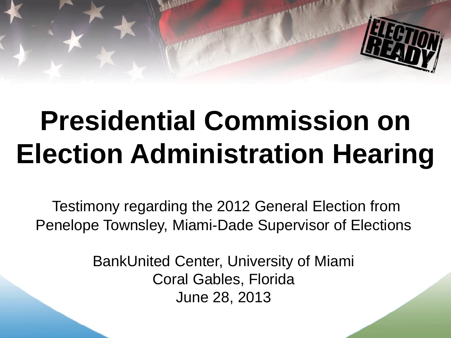

# **Presidential Commission on Election Administration Hearing**

Testimony regarding the 2012 General Election from Penelope Townsley, Miami-Dade Supervisor of Elections

> BankUnited Center, University of Miami Coral Gables, Florida June 28, 2013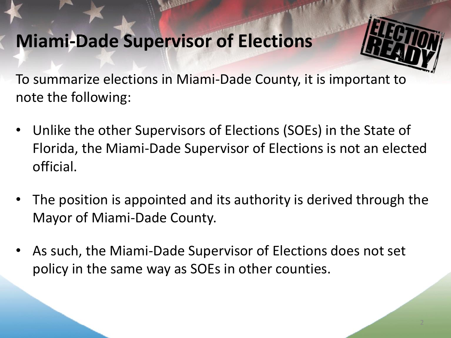# **Miami-Dade Supervisor of Elections**

To summarize elections in Miami-Dade County, it is important to note the following:

- Unlike the other Supervisors of Elections (SOEs) in the State of Florida, the Miami-Dade Supervisor of Elections is not an elected official.
- The position is appointed and its authority is derived through the Mayor of Miami-Dade County.
- As such, the Miami-Dade Supervisor of Elections does not set policy in the same way as SOEs in other counties.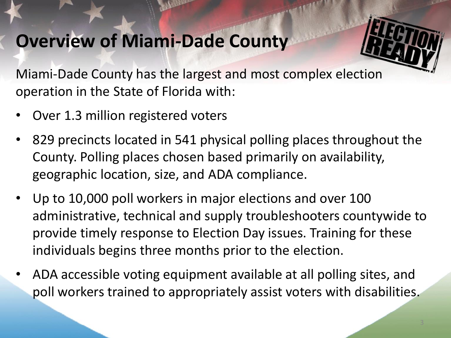# **Overview of Miami-Dade County**

Miami-Dade County has the largest and most complex election operation in the State of Florida with:

- Over 1.3 million registered voters
- 829 precincts located in 541 physical polling places throughout the County. Polling places chosen based primarily on availability, geographic location, size, and ADA compliance.
- Up to 10,000 poll workers in major elections and over 100 administrative, technical and supply troubleshooters countywide to provide timely response to Election Day issues. Training for these individuals begins three months prior to the election.
- ADA accessible voting equipment available at all polling sites, and poll workers trained to appropriately assist voters with disabilities.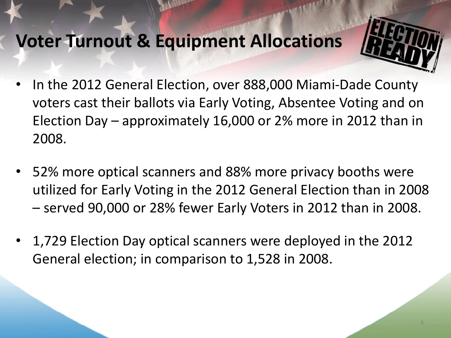# **Voter Turnout & Equipment Allocations**

- In the 2012 General Election, over 888,000 Miami-Dade County voters cast their ballots via Early Voting, Absentee Voting and on Election Day – approximately 16,000 or 2% more in 2012 than in 2008.
- 52% more optical scanners and 88% more privacy booths were utilized for Early Voting in the 2012 General Election than in 2008 – served 90,000 or 28% fewer Early Voters in 2012 than in 2008.
- 1,729 Election Day optical scanners were deployed in the 2012 General election; in comparison to 1,528 in 2008.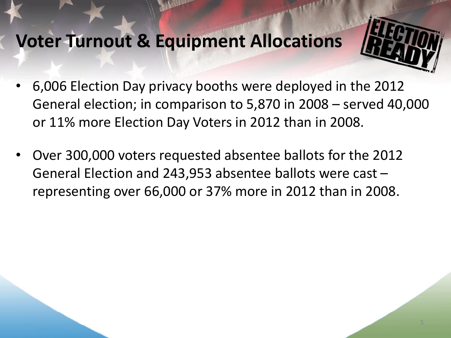# **Voter Turnout & Equipment Allocations**

- 6,006 Election Day privacy booths were deployed in the 2012 General election; in comparison to 5,870 in 2008 – served 40,000 or 11% more Election Day Voters in 2012 than in 2008.
- Over 300,000 voters requested absentee ballots for the 2012 General Election and 243,953 absentee ballots were cast – representing over 66,000 or 37% more in 2012 than in 2008.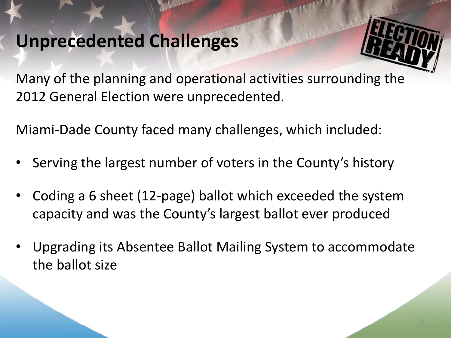# **Unprecedented Challenges**

Many of the planning and operational activities surrounding the 2012 General Election were unprecedented.

Miami-Dade County faced many challenges, which included:

- Serving the largest number of voters in the County's history
- Coding a 6 sheet (12-page) ballot which exceeded the system capacity and was the County's largest ballot ever produced
- Upgrading its Absentee Ballot Mailing System to accommodate the ballot size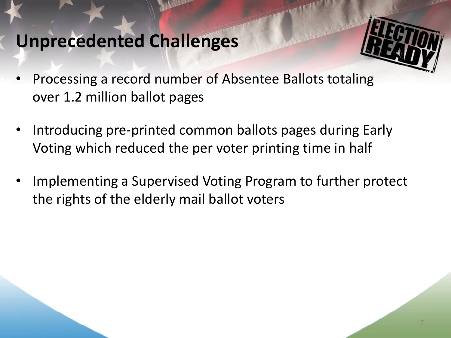# **Unprecedented Challenges**

- Processing a record number of Absentee Ballots totaling over 1.2 million ballot pages
- Introducing pre-printed common ballots pages during Early Voting which reduced the per voter printing time in half
- Implementing a Supervised Voting Program to further protect the rights of the elderly mail ballot voters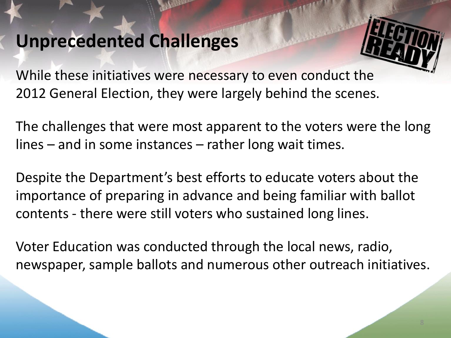# **Unprecedented Challenges**

While these initiatives were necessary to even conduct the 2012 General Election, they were largely behind the scenes.

The challenges that were most apparent to the voters were the long lines – and in some instances – rather long wait times.

Despite the Department's best efforts to educate voters about the importance of preparing in advance and being familiar with ballot contents - there were still voters who sustained long lines.

Voter Education was conducted through the local news, radio, newspaper, sample ballots and numerous other outreach initiatives.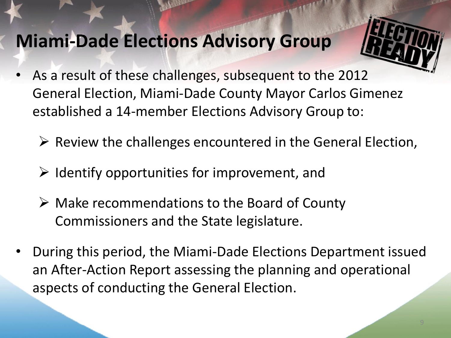# **Miami-Dade Elections Advisory Group**

- As a result of these challenges, subsequent to the 2012 General Election, Miami-Dade County Mayor Carlos Gimenez established a 14-member Elections Advisory Group to:
	- $\triangleright$  Review the challenges encountered in the General Election,
	- $\triangleright$  Identify opportunities for improvement, and
	- Make recommendations to the Board of County Commissioners and the State legislature.
- During this period, the Miami-Dade Elections Department issued an After-Action Report assessing the planning and operational aspects of conducting the General Election.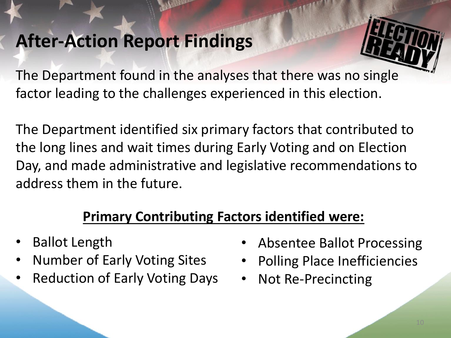# **After-Action Report Findings**

The Department found in the analyses that there was no single factor leading to the challenges experienced in this election.

The Department identified six primary factors that contributed to the long lines and wait times during Early Voting and on Election Day, and made administrative and legislative recommendations to address them in the future.

#### **Primary Contributing Factors identified were:**

- Ballot Length
- Number of Early Voting Sites
- Reduction of Early Voting Days
- Absentee Ballot Processing
- Polling Place Inefficiencies
- Not Re-Precincting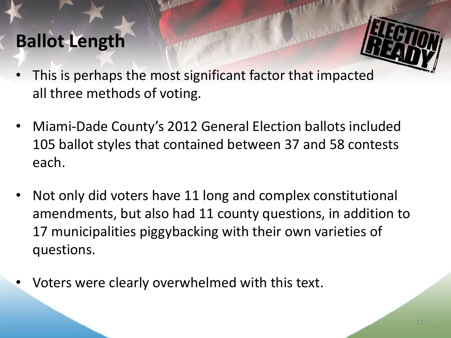# **Ballot Length**

- This is perhaps the most significant factor that impacted all three methods of voting.
- Miami-Dade County's 2012 General Election ballots included 105 ballot styles that contained between 37 and 58 contests each.
- Not only did voters have 11 long and complex constitutional amendments, but also had 11 county questions, in addition to 17 municipalities piggybacking with their own varieties of questions.
- Voters were clearly overwhelmed with this text.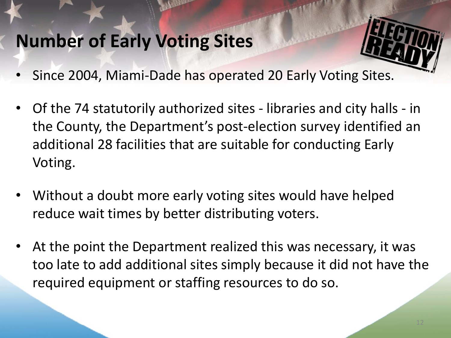# **Number of Early Voting Sites**

- Since 2004, Miami-Dade has operated 20 Early Voting Sites.
- Of the 74 statutorily authorized sites libraries and city halls in the County, the Department's post-election survey identified an additional 28 facilities that are suitable for conducting Early Voting.
- Without a doubt more early voting sites would have helped reduce wait times by better distributing voters.
- At the point the Department realized this was necessary, it was too late to add additional sites simply because it did not have the required equipment or staffing resources to do so.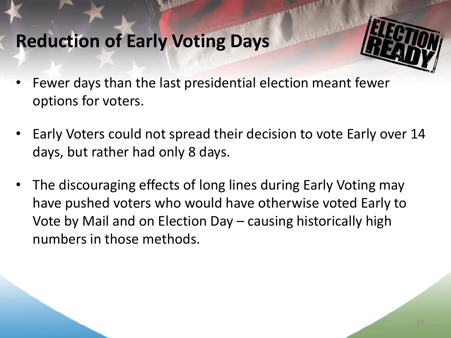# **Reduction of Early Voting Days**

- 
- Fewer days than the last presidential election meant fewer options for voters.
- Early Voters could not spread their decision to vote Early over 14 days, but rather had only 8 days.
- The discouraging effects of long lines during Early Voting may have pushed voters who would have otherwise voted Early to Vote by Mail and on Election Day – causing historically high numbers in those methods.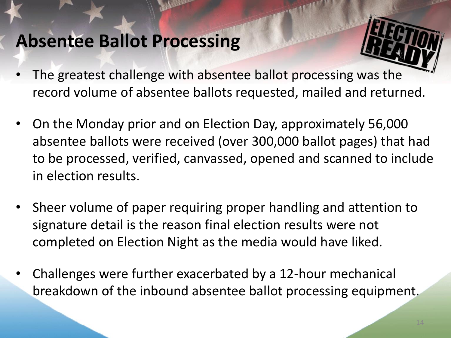# **Absentee Ballot Processing**

- The greatest challenge with absentee ballot processing was the record volume of absentee ballots requested, mailed and returned.
- On the Monday prior and on Election Day, approximately 56,000 absentee ballots were received (over 300,000 ballot pages) that had to be processed, verified, canvassed, opened and scanned to include in election results.
- Sheer volume of paper requiring proper handling and attention to signature detail is the reason final election results were not completed on Election Night as the media would have liked.
- Challenges were further exacerbated by a 12-hour mechanical breakdown of the inbound absentee ballot processing equipment.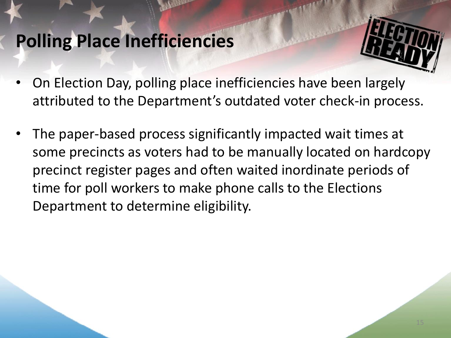# **Polling Place Inefficiencies**

- On Election Day, polling place inefficiencies have been largely attributed to the Department's outdated voter check-in process.
- The paper-based process significantly impacted wait times at some precincts as voters had to be manually located on hardcopy precinct register pages and often waited inordinate periods of time for poll workers to make phone calls to the Elections Department to determine eligibility.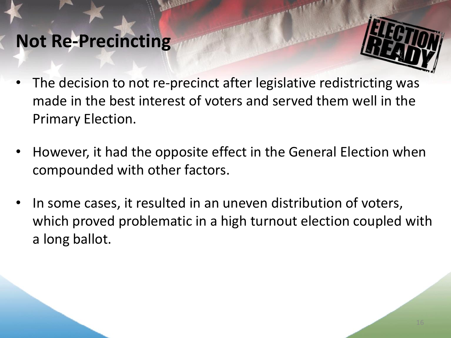# **Not Re-Precincting**

- 
- The decision to not re-precinct after legislative redistricting was made in the best interest of voters and served them well in the Primary Election.
- However, it had the opposite effect in the General Election when compounded with other factors.
- In some cases, it resulted in an uneven distribution of voters, which proved problematic in a high turnout election coupled with a long ballot.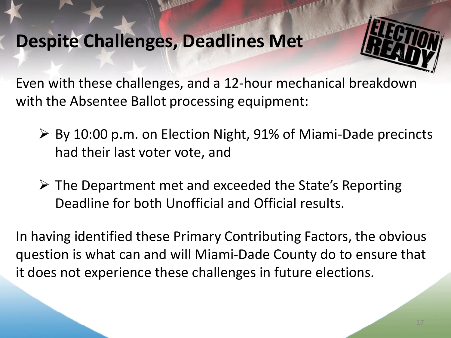#### **Despite Challenges, Deadlines Met**

Even with these challenges, and a 12-hour mechanical breakdown with the Absentee Ballot processing equipment:

- $\triangleright$  By 10:00 p.m. on Election Night, 91% of Miami-Dade precincts had their last voter vote, and
- $\triangleright$  The Department met and exceeded the State's Reporting Deadline for both Unofficial and Official results.

In having identified these Primary Contributing Factors, the obvious question is what can and will Miami-Dade County do to ensure that it does not experience these challenges in future elections.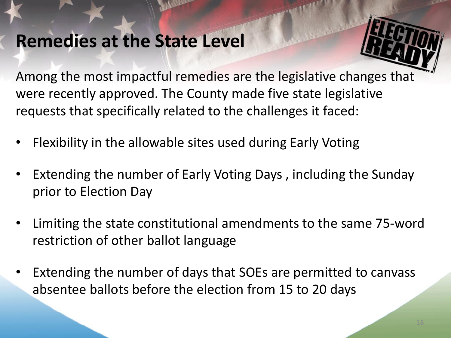### **Remedies at the State Level**

Among the most impactful remedies are the legislative changes that were recently approved. The County made five state legislative requests that specifically related to the challenges it faced:

- Flexibility in the allowable sites used during Early Voting
- Extending the number of Early Voting Days, including the Sunday prior to Election Day
- Limiting the state constitutional amendments to the same 75-word restriction of other ballot language
- Extending the number of days that SOEs are permitted to canvass absentee ballots before the election from 15 to 20 days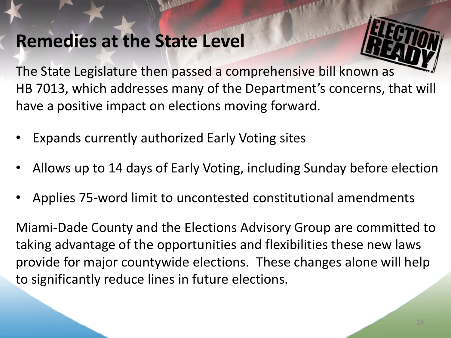# **Remedies at the State Level**

The State Legislature then passed a comprehensive bill known as HB 7013, which addresses many of the Department's concerns, that will have a positive impact on elections moving forward.

- Expands currently authorized Early Voting sites
- Allows up to 14 days of Early Voting, including Sunday before election
- Applies 75-word limit to uncontested constitutional amendments

Miami-Dade County and the Elections Advisory Group are committed to taking advantage of the opportunities and flexibilities these new laws provide for major countywide elections. These changes alone will help to significantly reduce lines in future elections.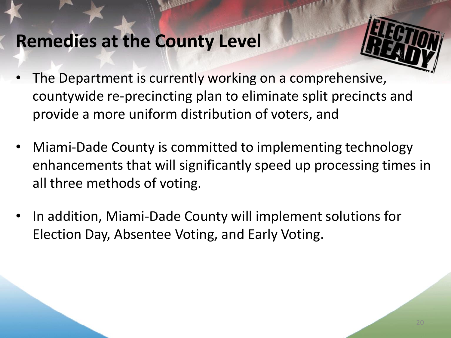- The Department is currently working on a comprehensive, countywide re-precincting plan to eliminate split precincts and provide a more uniform distribution of voters, and
- Miami-Dade County is committed to implementing technology enhancements that will significantly speed up processing times in all three methods of voting.
- In addition, Miami-Dade County will implement solutions for Election Day, Absentee Voting, and Early Voting.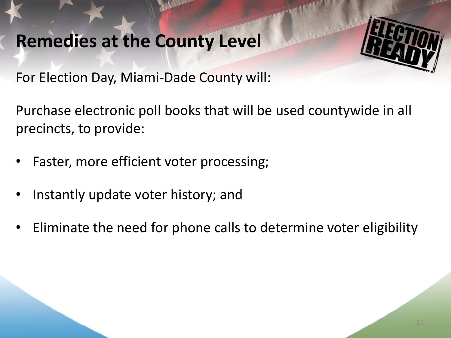For Election Day, Miami-Dade County will:

Purchase electronic poll books that will be used countywide in all precincts, to provide:

- Faster, more efficient voter processing;
- Instantly update voter history; and
- Eliminate the need for phone calls to determine voter eligibility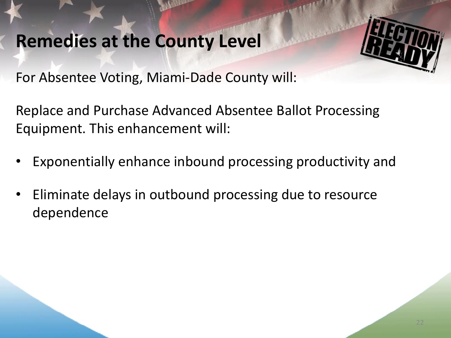For Absentee Voting, Miami-Dade County will:

Replace and Purchase Advanced Absentee Ballot Processing Equipment. This enhancement will:

- Exponentially enhance inbound processing productivity and
- Eliminate delays in outbound processing due to resource dependence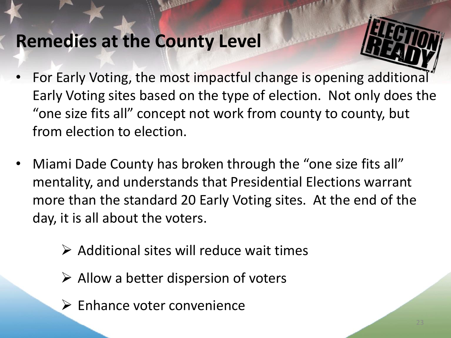- For Early Voting, the most impactful change is opening additional Early Voting sites based on the type of election. Not only does the "one size fits all" concept not work from county to county, but from election to election.
- Miami Dade County has broken through the "one size fits all" mentality, and understands that Presidential Elections warrant more than the standard 20 Early Voting sites. At the end of the day, it is all about the voters.
	- $\triangleright$  Additional sites will reduce wait times
	- $\triangleright$  Allow a better dispersion of voters
	- $\triangleright$  Enhance voter convenience